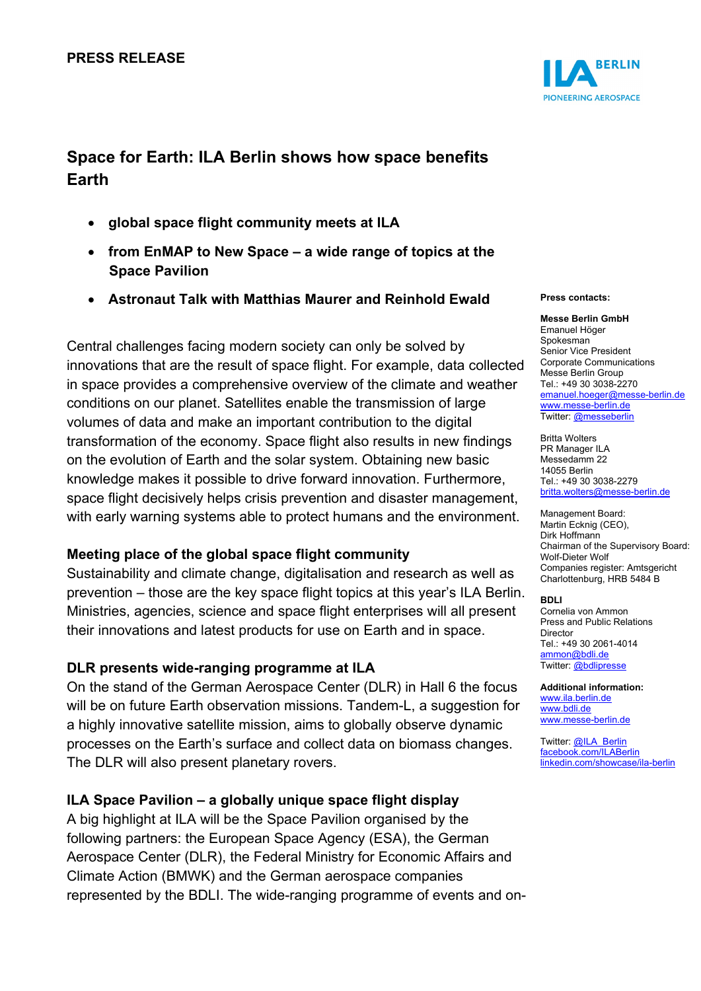### **PRESS RELEASE**

# **Space for Earth: ILA Berlin shows how space benefits Earth**

- **global space flight community meets at ILA**
- **from EnMAP to New Space a wide range of topics at the Space Pavilion**
- **Astronaut Talk with Matthias Maurer and Reinhold Ewald**

Central challenges facing modern society can only be solved by innovations that are the result of space flight. For example, data collected in space provides a comprehensive overview of the climate and weather conditions on our planet. Satellites enable the transmission of large volumes of data and make an important contribution to the digital transformation of the economy. Space flight also results in new findings on the evolution of Earth and the solar system. Obtaining new basic knowledge makes it possible to drive forward innovation. Furthermore, space flight decisively helps crisis prevention and disaster management, with early warning systems able to protect humans and the environment.

### **Meeting place of the global space flight community**

Sustainability and climate change, digitalisation and research as well as prevention – those are the key space flight topics at this year's ILA Berlin. Ministries, agencies, science and space flight enterprises will all present their innovations and latest products for use on Earth and in space.

### **DLR presents wide-ranging programme at ILA**

On the stand of the German Aerospace Center (DLR) in Hall 6 the focus will be on future Earth observation missions. Tandem-L, a suggestion for a highly innovative satellite mission, aims to globally observe dynamic processes on the Earth's surface and collect data on biomass changes. The DLR will also present planetary rovers.

### **ILA Space Pavilion – a globally unique space flight display**

A big highlight at ILA will be the Space Pavilion organised by the following partners: the European Space Agency (ESA), the German Aerospace Center (DLR), the Federal Ministry for Economic Affairs and Climate Action (BMWK) and the German aerospace companies represented by the BDLI. The wide-ranging programme of events and on-



#### **Press contacts:**

**Messe Berlin GmbH**  Emanuel Höger Spokesman Senior Vice President Corporate Communications Messe Berlin Group Tel.: +49 30 3038-2270 [emanuel.hoeger@messe-berlin.de](mailto:emanuel.hoeger@messe-berlin.de) [www.messe-berlin.de](http://www.messe-berlin.de/) Twitter[: @messeberlin](https://twitter.com/messeberlin)

Britta Wolters PR Manager ILA Messedamm 22 14055 Berlin Tel.: +49 30 3038-2279 [britta.wolters@messe-berlin.de](mailto:britta.wolters@messe-berlin.de)

Management Board: Martin Ecknig (CEO), Dirk Hoffmann Chairman of the Supervisory Board: Wolf-Dieter Wolf Companies register: Amtsgericht Charlottenburg, HRB 5484 B

#### **BDLI**

Cornelia von Ammon Press and Public Relations Director Tel.: +49 30 2061-4014 [ammon@bdli.de](mailto:ammon@bdli.de) Twitter[: @bdlipresse](https://twitter.com/bdlipresse?lang=de)

**Additional information:** [www.ila.berlin.de](http://www.ila.berlin.de/) [www.bdli.de](http://www.bdli.de/) [www.messe-berlin.de](http://www.messe-berlin.de/)

Twitter[: @ILA\\_Berlin](https://twitter.com/ila_berlin?lang=de) [facebook.com/ILABerlin](file:///C:%5CUsers%5CWoiton.Sandra%5CAppData%5CLocal%5CMicrosoft%5CWindows%5Cammon%5CAppData%5CLocal%5CUsers%5CFrankeC%5CAppData%5CLocal%5CMicrosoft%5CWindows%5CINetCache%5CContent.Outlook%5CAppData%5CLocal%5CMicrosoft%5CWindows%5CINetCache%5CContent.Outlook%5CAppData%5CLocal%5CMicrosoft%5CWindows%5CINetCache%5CContent.Outlook%5CNIXZO984%5Cfacebook.com%5CILABerlin%0bhttps:%5Cwww.linkedin.com%5Cshowcase%5Cila-berlin)  [linkedin.com/showcase/ila-berlin](https://www.linkedin.com/showcase/ila-berlin)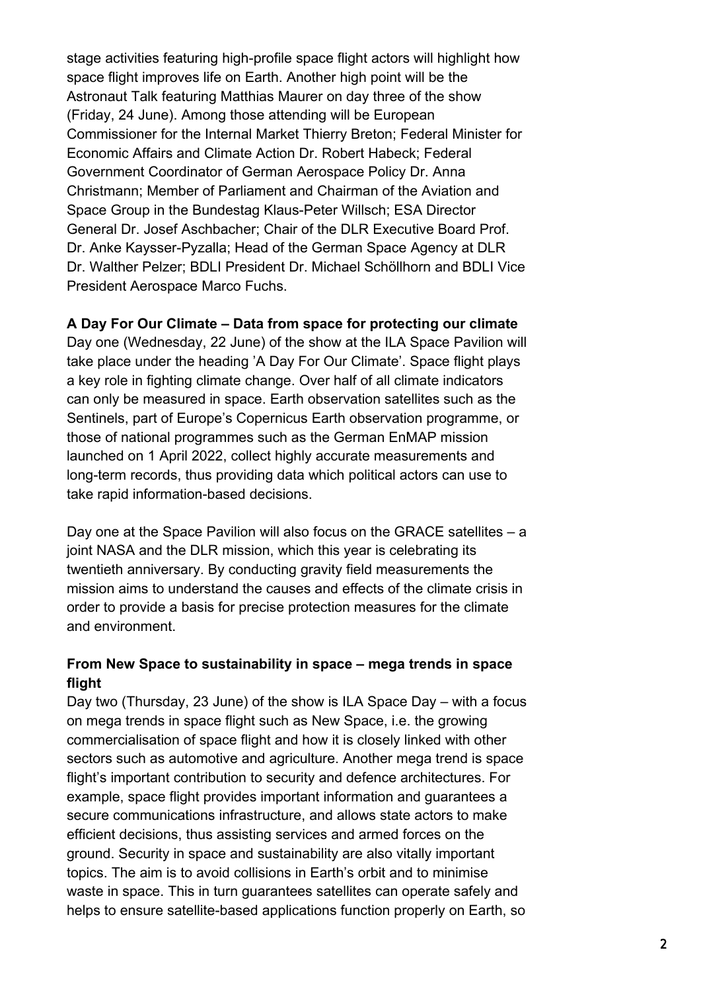stage activities featuring high-profile space flight actors will highlight how space flight improves life on Earth. Another high point will be the Astronaut Talk featuring Matthias Maurer on day three of the show (Friday, 24 June). Among those attending will be European Commissioner for the Internal Market Thierry Breton; Federal Minister for Economic Affairs and Climate Action Dr. Robert Habeck; Federal Government Coordinator of German Aerospace Policy Dr. Anna Christmann; Member of Parliament and Chairman of the Aviation and Space Group in the Bundestag Klaus-Peter Willsch; ESA Director General Dr. Josef Aschbacher; Chair of the DLR Executive Board Prof. Dr. Anke Kaysser-Pyzalla; Head of the German Space Agency at DLR Dr. Walther Pelzer; BDLI President Dr. Michael Schöllhorn and BDLI Vice President Aerospace Marco Fuchs.

### **A Day For Our Climate – Data from space for protecting our climate**

Day one (Wednesday, 22 June) of the show at the ILA Space Pavilion will take place under the heading 'A Day For Our Climate'. Space flight plays a key role in fighting climate change. Over half of all climate indicators can only be measured in space. Earth observation satellites such as the Sentinels, part of Europe's Copernicus Earth observation programme, or those of national programmes such as the German EnMAP mission launched on 1 April 2022, collect highly accurate measurements and long-term records, thus providing data which political actors can use to take rapid information-based decisions.

Day one at the Space Pavilion will also focus on the GRACE satellites – a joint NASA and the DLR mission, which this year is celebrating its twentieth anniversary. By conducting gravity field measurements the mission aims to understand the causes and effects of the climate crisis in order to provide a basis for precise protection measures for the climate and environment.

# **From New Space to sustainability in space – mega trends in space flight**

Day two (Thursday, 23 June) of the show is ILA Space Day – with a focus on mega trends in space flight such as New Space, i.e. the growing commercialisation of space flight and how it is closely linked with other sectors such as automotive and agriculture. Another mega trend is space flight's important contribution to security and defence architectures. For example, space flight provides important information and guarantees a secure communications infrastructure, and allows state actors to make efficient decisions, thus assisting services and armed forces on the ground. Security in space and sustainability are also vitally important topics. The aim is to avoid collisions in Earth's orbit and to minimise waste in space. This in turn guarantees satellites can operate safely and helps to ensure satellite-based applications function properly on Earth, so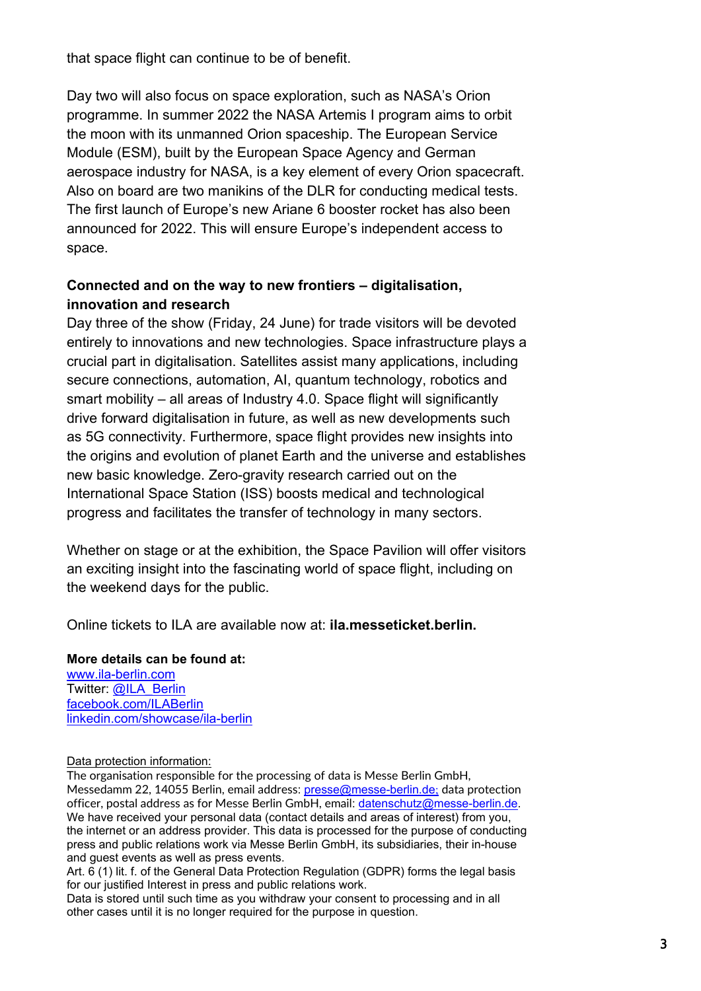that space flight can continue to be of benefit.

Day two will also focus on space exploration, such as NASA's Orion programme. In summer 2022 the NASA Artemis I program aims to orbit the moon with its unmanned Orion spaceship. The European Service Module (ESM), built by the European Space Agency and German aerospace industry for NASA, is a key element of every Orion spacecraft. Also on board are two manikins of the DLR for conducting medical tests. The first launch of Europe's new Ariane 6 booster rocket has also been announced for 2022. This will ensure Europe's independent access to space.

## **Connected and on the way to new frontiers – digitalisation, innovation and research**

Day three of the show (Friday, 24 June) for trade visitors will be devoted entirely to innovations and new technologies. Space infrastructure plays a crucial part in digitalisation. Satellites assist many applications, including secure connections, automation, AI, quantum technology, robotics and smart mobility – all areas of Industry 4.0. Space flight will significantly drive forward digitalisation in future, as well as new developments such as 5G connectivity. Furthermore, space flight provides new insights into the origins and evolution of planet Earth and the universe and establishes new basic knowledge. Zero-gravity research carried out on the International Space Station (ISS) boosts medical and technological progress and facilitates the transfer of technology in many sectors.

Whether on stage or at the exhibition, the Space Pavilion will offer visitors an exciting insight into the fascinating world of space flight, including on the weekend days for the public.

Online tickets to ILA are available now at: **ila.messeticket.berlin.**

### **More details can be found at:**

[www.ila-berlin.com](http://www.ila-berlin.com/) Twitter: [@ILA\\_Berlin](https://twitter.com/ila_berlin?lang=de) [facebook.com/ILABerlin](http://facebook.com/ILABerlin) [linkedin.com/showcase/ila-berlin](https://www.linkedin.com/showcase/ila-berlin)

### Data protection information:

The organisation responsible for the processing of data is Messe Berlin GmbH, Messedamm 22, 14055 Berlin, email address: [presse@messe-berlin.de](mailto:presse@messe-berlin.de); data protection officer, postal address as for Messe Berlin GmbH, email: [datenschutz@messe-berlin.de.](mailto:datenschutz@messe-berlin.de) We have received your personal data (contact details and areas of interest) from you, the internet or an address provider. This data is processed for the purpose of conducting press and public relations work via Messe Berlin GmbH, its subsidiaries, their in-house and guest events as well as press events.

Art. 6 (1) lit. f. of the General Data Protection Regulation (GDPR) forms the legal basis for our justified Interest in press and public relations work.

Data is stored until such time as you withdraw your consent to processing and in all other cases until it is no longer required for the purpose in question.